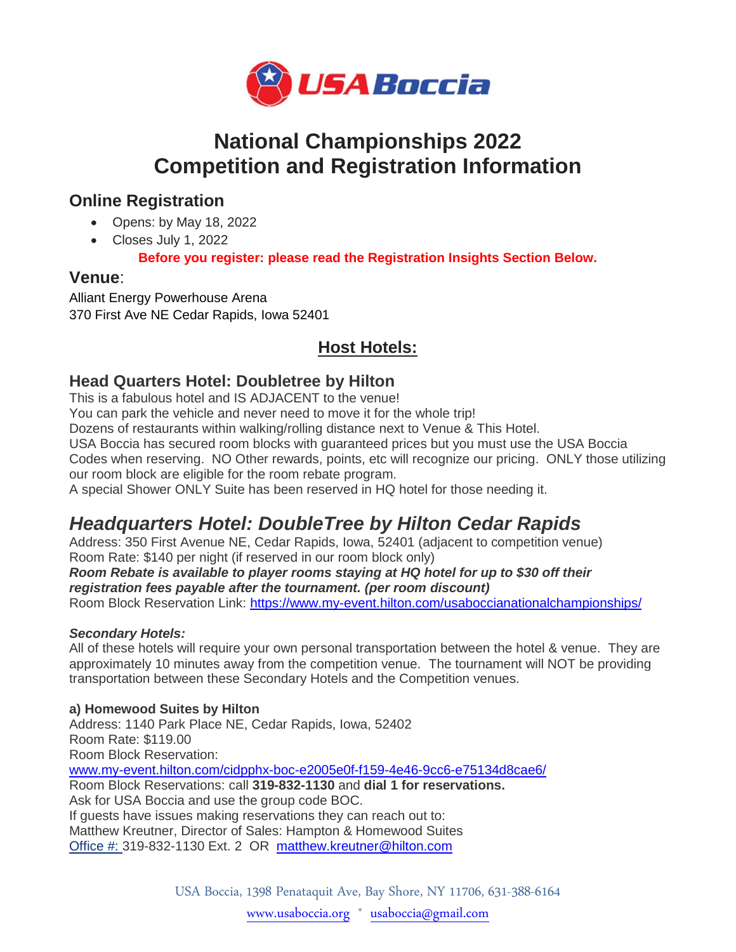

# **National Championships 2022 Competition and Registration Information**

### **Online Registration**

- Opens: by May 18, 2022
- Closes July 1, 2022

**Before you register: please read the Registration Insights Section Below.**

### **Venue**:

Alliant Energy Powerhouse Arena 370 First Ave NE Cedar Rapids, Iowa 52401

## **Host Hotels:**

### **Head Quarters Hotel: Doubletree by Hilton**

This is a fabulous hotel and IS ADJACENT to the venue!

You can park the vehicle and never need to move it for the whole trip!

Dozens of restaurants within walking/rolling distance next to Venue & This Hotel.

USA Boccia has secured room blocks with guaranteed prices but you must use the USA Boccia

Codes when reserving. NO Other rewards, points, etc will recognize our pricing. ONLY those utilizing our room block are eligible for the room rebate program.

A special Shower ONLY Suite has been reserved in HQ hotel for those needing it.

# *Headquarters Hotel: DoubleTree by Hilton Cedar Rapids*

Address: 350 First Avenue NE, Cedar Rapids, Iowa, 52401 (adjacent to competition venue) Room Rate: \$140 per night (if reserved in our room block only)

*Room Rebate is available to player rooms staying at HQ hotel for up to \$30 off their registration fees payable after the tournament. (per room discount)*

Room Block Reservation Link: <https://www.my-event.hilton.com/usaboccianationalchampionships/>

### *Secondary Hotels:*

All of these hotels will require your own personal transportation between the hotel & venue. They are approximately 10 minutes away from the competition venue. The tournament will NOT be providing transportation between these Secondary Hotels and the Competition venues.

### **a) Homewood Suites by Hilton**

Address: 1140 Park Place NE, Cedar Rapids, Iowa, 52402 Room Rate: \$119.00 Room Block Reservation: [www.my-event.hilton.com/cidpphx-boc-e2005e0f-f159-4e46-9cc6-e75134d8cae6/](http://www.my-event.hilton.com/cidpphx-boc-e2005e0f-f159-4e46-9cc6-e75134d8cae6/) Room Block Reservations: call **319-832-1130** and **dial 1 for reservations.** Ask for USA Boccia and use the group code BOC. If guests have issues making reservations they can reach out to: Matthew Kreutner, Director of Sales: Hampton & Homewood Suites [Office](http://mailto:Office/#:) #: 319-832-1130 Ext. 2 OR [matthew.kreutner@hilton.com](mailto:matthew.kreutner@hilton.com)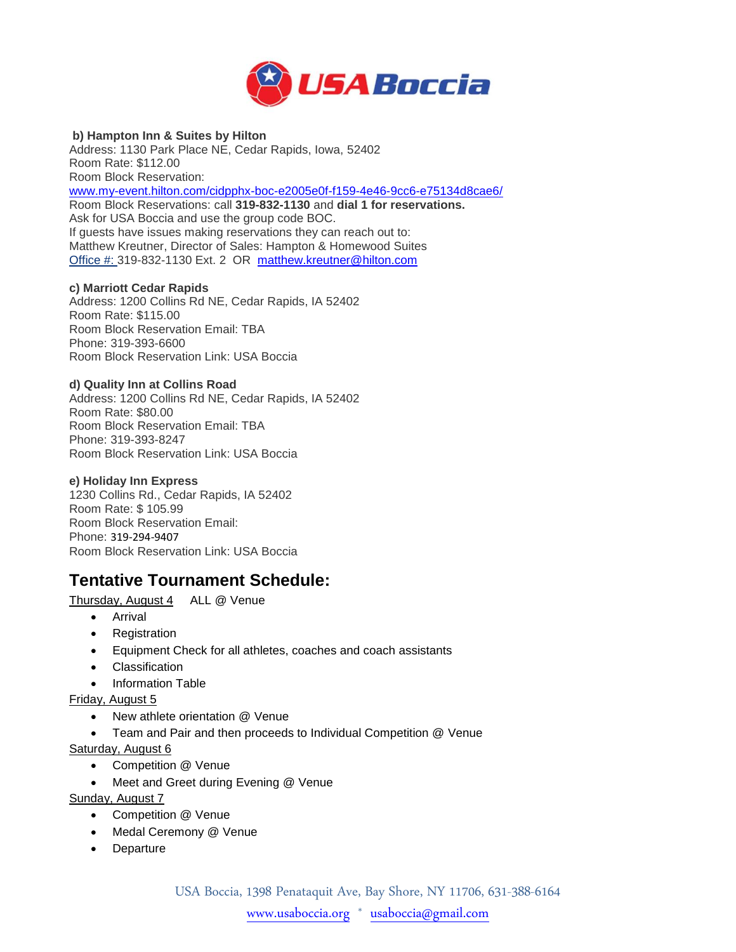

#### **b) Hampton Inn & Suites by Hilton**

Address: 1130 Park Place NE, Cedar Rapids, Iowa, 52402 Room Rate: \$112.00 Room Block Reservation:

[www.my-event.hilton.com/cidpphx-boc-e2005e0f-f159-4e46-9cc6-e75134d8cae6/](http://www.my-event.hilton.com/cidpphx-boc-e2005e0f-f159-4e46-9cc6-e75134d8cae6/) Room Block Reservations: call **319-832-1130** and **dial 1 for reservations.** Ask for USA Boccia and use the group code BOC. If guests have issues making reservations they can reach out to: Matthew Kreutner, Director of Sales: Hampton & Homewood Suites [Office](http://mailto:Office/#:) #: 319-832-1130 Ext. 2 OR [matthew.kreutner@hilton.com](mailto:matthew.kreutner@hilton.com)

#### **c) Marriott Cedar Rapids**

Address: 1200 Collins Rd NE, Cedar Rapids, IA 52402 Room Rate: \$115.00 Room Block Reservation Email: TBA Phone: 319-393-6600 Room Block Reservation Link: USA Boccia

#### **d) Quality Inn at Collins Road**

Address: 1200 Collins Rd NE, Cedar Rapids, IA 52402 Room Rate: \$80.00 Room Block Reservation Email: TBA Phone: 319-393-8247 Room Block Reservation Link: USA Boccia

#### **e) Holiday Inn Express**

1230 Collins Rd., Cedar Rapids, IA 52402 Room Rate: \$ 105.99 Room Block Reservation Email: Phone: 319-294-9407 Room Block Reservation Link: USA Boccia

### **Tentative Tournament Schedule:**

Thursday, August 4 ALL @ Venue

- Arrival
- Registration
- Equipment Check for all athletes, coaches and coach assistants
- Classification
- Information Table

Friday, August 5

- New athlete orientation @ Venue
- Team and Pair and then proceeds to Individual Competition @ Venue

#### Saturday, August 6

- Competition @ Venue
- Meet and Greet during Evening @ Venue

Sunday, August 7

- Competition @ Venue
- Medal Ceremony @ Venue
- Departure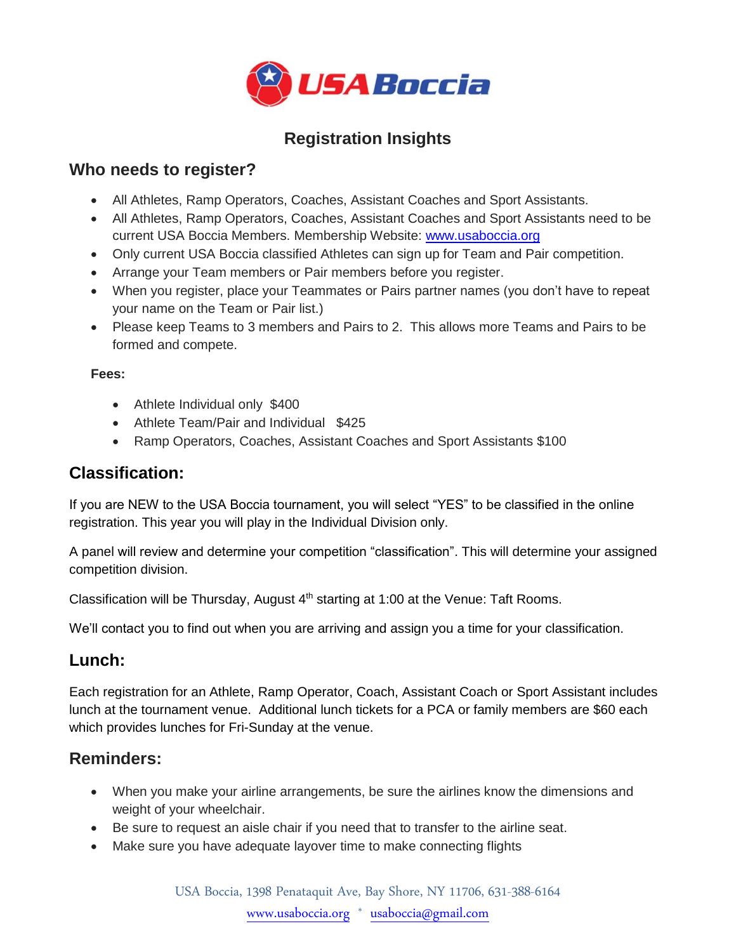

## **Registration Insights**

### **Who needs to register?**

- All Athletes, Ramp Operators, Coaches, Assistant Coaches and Sport Assistants.
- All Athletes, Ramp Operators, Coaches, Assistant Coaches and Sport Assistants need to be current USA Boccia Members. Membership Website: [www.usaboccia.org](http://www.usaboccia.org/)
- Only current USA Boccia classified Athletes can sign up for Team and Pair competition.
- Arrange your Team members or Pair members before you register.
- When you register, place your Teammates or Pairs partner names (you don't have to repeat your name on the Team or Pair list.)
- Please keep Teams to 3 members and Pairs to 2. This allows more Teams and Pairs to be formed and compete.

### **Fees:**

- Athlete Individual only \$400
- Athlete Team/Pair and Individual \$425
- Ramp Operators, Coaches, Assistant Coaches and Sport Assistants \$100

## **Classification:**

If you are NEW to the USA Boccia tournament, you will select "YES" to be classified in the online registration. This year you will play in the Individual Division only.

A panel will review and determine your competition "classification". This will determine your assigned competition division.

Classification will be Thursday, August  $4<sup>th</sup>$  starting at 1:00 at the Venue: Taft Rooms.

We'll contact you to find out when you are arriving and assign you a time for your classification.

## **Lunch:**

Each registration for an Athlete, Ramp Operator, Coach, Assistant Coach or Sport Assistant includes lunch at the tournament venue. Additional lunch tickets for a PCA or family members are \$60 each which provides lunches for Fri-Sunday at the venue.

### **Reminders:**

- When you make your airline arrangements, be sure the airlines know the dimensions and weight of your wheelchair.
- Be sure to request an aisle chair if you need that to transfer to the airline seat.
- Make sure you have adequate layover time to make connecting flights